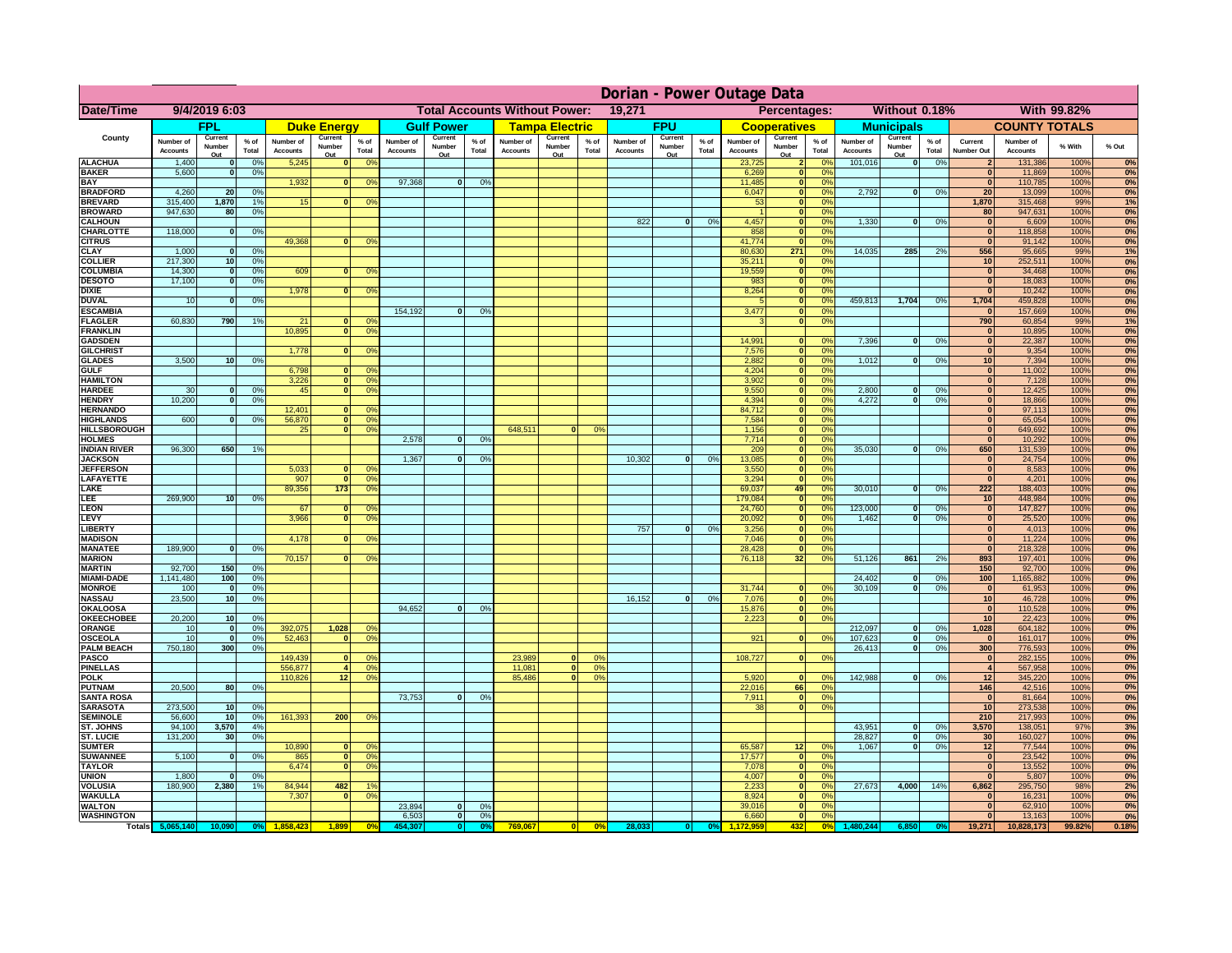|                                      | Dorian - Power Outage Data   |                             |                |                              |                          |                                                |                              |                          |                |                              |                                              |                 |                              |                          |                 |                              |                                 |                                  |                              |                                                    |                 |                                                    |                              |              |          |
|--------------------------------------|------------------------------|-----------------------------|----------------|------------------------------|--------------------------|------------------------------------------------|------------------------------|--------------------------|----------------|------------------------------|----------------------------------------------|-----------------|------------------------------|--------------------------|-----------------|------------------------------|---------------------------------|----------------------------------|------------------------------|----------------------------------------------------|-----------------|----------------------------------------------------|------------------------------|--------------|----------|
| <b>Date/Time</b>                     | 9/4/2019 6:03                |                             |                |                              |                          | <b>Total Accounts Without Power:</b><br>19,271 |                              |                          |                |                              | Percentages:<br>Without 0.18%<br>With 99.82% |                 |                              |                          |                 |                              |                                 |                                  |                              |                                                    |                 |                                                    |                              |              |          |
|                                      |                              | <b>FPL</b>                  |                |                              | <b>Duke Energy</b>       |                                                |                              | <b>Gulf Power</b>        |                |                              | <b>Tampa Electric</b>                        |                 |                              | <b>FPU</b>               |                 |                              | <b>Cooperatives</b>             |                                  |                              | <b>Municipals</b>                                  |                 |                                                    | <b>COUNTY TOTALS</b>         |              |          |
| County                               | Number of<br><b>Accounts</b> | Current<br>Number<br>Out    | % of<br>Total  | Number of<br><b>Accounts</b> | Current<br>Number<br>Out | $%$ of<br>Total                                | Number of<br><b>Accounts</b> | Current<br>Number<br>Out | % of<br>Total  | Number of<br><b>Accounts</b> | Current<br>Number<br>Out                     | $%$ of<br>Total | Number of<br><b>Accounts</b> | Current<br>Number<br>Out | $%$ of<br>Total | Number of<br><b>Accounts</b> | Current<br>Number<br><u>Out</u> | $%$ of<br>Total                  | Number of<br><b>Accounts</b> | Current<br>Number<br>Out                           | $%$ of<br>Total | Current<br><b>Number Out</b>                       | Number of<br><b>Accounts</b> | % With       | % Out    |
| <b>ALACHUA</b>                       | 1,400                        | $\mathbf{0}$                | 0%             | 5,245                        |                          | 0 <sup>9</sup>                                 |                              |                          |                |                              |                                              |                 |                              |                          |                 | 23,725                       |                                 | 0%                               | 101,016                      | 0                                                  | 0%              |                                                    | 131,386                      | 100%         | 0%       |
| <b>BAKER</b><br><b>BAY</b>           | 5,600                        | $\mathbf{0}$                | 0%             | 1,932                        | $\bf{0}$                 | 0 <sup>9</sup>                                 | 97,368                       | $\mathbf{0}$             | 0%             |                              |                                              |                 |                              |                          |                 | 6,269<br>11,485              | $\Omega$<br>$\mathbf{0}$        | 0 <sup>9</sup><br>0%             |                              |                                                    |                 | $\Omega$<br>$\bf{0}$                               | 11,869<br>110,785            | 100%<br>100% | 0%<br>0% |
| <b>BRADFORD</b>                      | 4,260                        | 20                          | 0%             |                              |                          |                                                |                              |                          |                |                              |                                              |                 |                              |                          |                 | 6,047                        | $\mathbf{0}$                    | 0%                               | 2,792                        | 0                                                  | 0%              | 20                                                 | 13,099                       | 100%         | 0%       |
| <b>BREVARD</b>                       | 315,400                      | 1,870                       | 1%             | 15                           |                          | 0 <sup>9</sup>                                 |                              |                          |                |                              |                                              |                 |                              |                          |                 | 53                           | $\mathbf{0}$                    | 0%                               |                              |                                                    |                 | 1,870                                              | 315,468                      | 99%          | 1%       |
| <b>BROWARD</b>                       | 947,630                      | 80                          | 0 <sup>9</sup> |                              |                          |                                                |                              |                          |                |                              |                                              |                 |                              |                          |                 |                              | $\overline{\phantom{a}}$        | 0%                               |                              |                                                    |                 | 80                                                 | 947,631                      | 100%         | 0%       |
| <b>CALHOUN</b><br><b>CHARLOTTE</b>   | 118,000                      | 0                           | 0%             |                              |                          |                                                |                              |                          |                |                              |                                              |                 | 822                          | 0                        | 0%              | 4,457<br>858                 | $\mathbf{0}$<br>ō               | 0%<br>0%                         | 1,330                        | 0                                                  | 0%              | $\overline{\mathbf{0}}$<br>$\overline{\mathbf{0}}$ | 6,609<br>118,858             | 100%<br>100% | 0%<br>0% |
| <b>CITRUS</b>                        |                              |                             |                | 49.368                       | $\Omega$                 | 0 <sup>9</sup>                                 |                              |                          |                |                              |                                              |                 |                              |                          |                 | 41.774                       | $\overline{\phantom{a}}$        | 0%                               |                              |                                                    |                 | $\overline{0}$                                     | 91,142                       | 100%         | 0%       |
| <b>CLAY</b>                          | 1,000                        | $\Omega$                    | 0%             |                              |                          |                                                |                              |                          |                |                              |                                              |                 |                              |                          |                 | 80,630                       | 271                             | 0%                               | 14.035                       | 285                                                | 2%              | 556                                                | 95,665                       | 99%          | 1%       |
| <b>COLLIER</b>                       | 217,300                      | 10 <sup>1</sup>             | 0%             |                              |                          |                                                |                              |                          |                |                              |                                              |                 |                              |                          |                 | 35,211                       | $\mathbf{0}$                    | 0 <sup>9</sup>                   |                              |                                                    |                 | 10                                                 | 252,511                      | 100%         | 0%       |
| <b>COLUMBIA</b><br><b>DESOTO</b>     | 14,300<br>17,100             | 0 <br>$\overline{0}$        | 0%<br>0%       | 609                          |                          | 0 <sup>9</sup><br>$\overline{0}$               |                              |                          |                |                              |                                              |                 |                              |                          |                 | 19.559<br>983                | $\overline{\phantom{a}}$<br>ō   | 0 <sup>9</sup><br>0 <sup>9</sup> |                              |                                                    |                 | $\overline{\mathbf{0}}$<br>$\overline{0}$          | 34,468<br>18,083             | 100%<br>100% | 0%<br>0% |
| <b>DIXIE</b>                         |                              |                             |                | 1,978                        | $\Omega$                 | 0 <sup>9</sup>                                 |                              |                          |                |                              |                                              |                 |                              |                          |                 | 8,264                        | ō                               | 0%                               |                              |                                                    |                 | $\bf{0}$                                           | 10,242                       | 100%         | 0%       |
| <b>DUVAL</b>                         | 10                           | $\mathbf{0}$                | 0%             |                              |                          |                                                |                              |                          |                |                              |                                              |                 |                              |                          |                 |                              | ō                               | 0 <sup>9</sup>                   | 459,813                      | 1,704                                              | 0%              | 1,704                                              | 459,828                      | 100%         | 0%       |
| <b>ESCAMBIA</b>                      |                              |                             |                |                              |                          |                                                | 154,192                      | $\mathbf{0}$             | 0 <sup>o</sup> |                              |                                              |                 |                              |                          |                 | 3,477                        | $\overline{\phantom{a}}$        | 0 <sup>9</sup>                   |                              |                                                    |                 | $\mathbf{0}$                                       | 157,669                      | 100%         | 0%       |
| <b>FLAGLER</b><br><b>FRANKLIN</b>    | 60,830                       | 790                         | 1%             | 21<br>10.895                 | $\mathbf{0}$<br> 0       | 0 <sup>9</sup><br>0 <sup>9</sup>               |                              |                          |                |                              |                                              |                 |                              |                          |                 | $\mathbf{B}$                 | $\overline{\phantom{a}}$        | 0%                               |                              |                                                    |                 | 790<br>$\overline{0}$                              | 60,854                       | 99%<br>100%  | 1%<br>0% |
| <b>GADSDEN</b>                       |                              |                             |                |                              |                          |                                                |                              |                          |                |                              |                                              |                 |                              |                          |                 | 14.991                       | $\bf{0}$                        | 0 <sup>9</sup>                   | 7,396                        | $\overline{0}$                                     | 0%              | $\overline{0}$                                     | 10,895<br>22,387             | 100%         | 0%       |
| <b>GILCHRIST</b>                     |                              |                             |                | 1,778                        | $\overline{0}$           | 0 <sup>9</sup>                                 |                              |                          |                |                              |                                              |                 |                              |                          |                 | 7,576                        | $\overline{0}$                  | 0%                               |                              |                                                    |                 | $\overline{0}$                                     | 9,354                        | 100%         | 0%       |
| <b>GLADES</b>                        | 3.500                        | 10                          | 0%             |                              |                          |                                                |                              |                          |                |                              |                                              |                 |                              |                          |                 | 2.882                        | $\overline{0}$                  | 0%                               | 1,012                        | $\overline{0}$                                     | 0%              | 10                                                 | 7,394                        | 100%         | 0%       |
| <b>GULF</b>                          |                              |                             |                | 6.798                        | $\Omega$                 | 0 <sup>9</sup>                                 |                              |                          |                |                              |                                              |                 |                              |                          |                 | 4.204                        | $\mathbf{0}$<br>$\Omega$        | 0%                               |                              |                                                    |                 | $\mathbf{0}$                                       | 11.002                       | 100%         | 0%       |
| <b>HAMILTON</b><br><b>HARDEE</b>     | 30                           | $\Omega$                    | 0%             | 3.226<br>45                  | 0 <br>$\mathbf{0}$       | 0 <sup>9</sup><br>0 <sup>9</sup>               |                              |                          |                |                              |                                              |                 |                              |                          |                 | 3.902<br>9,550               | $\Omega$                        | 0%<br>0%                         | 2,800                        | $\Omega$                                           | 0%              | 0 <br> 0                                           | 7.128<br>12,425              | 100%<br>100% | 0%<br>0% |
| <b>HENDRY</b>                        | 10,200                       | $\Omega$                    | 0%             |                              |                          |                                                |                              |                          |                |                              |                                              |                 |                              |                          |                 | 4,394                        |                                 | 0%                               | 4,272                        | $\mathbf{a}$                                       | 0%              | 0                                                  | 18,866                       | 100%         | 0%       |
| <b>HERNANDO</b>                      |                              |                             |                | 12,401                       | $\mathbf{0}$             | 0 <sup>9</sup>                                 |                              |                          |                |                              |                                              |                 |                              |                          |                 | 84,712                       |                                 | 0%                               |                              |                                                    |                 | 0                                                  | 97,113                       | 100%         | 0%       |
| <b>HIGHLANDS</b>                     | 600                          | $\Omega$                    | 0%             | 56,870                       | 0                        | 0 <sup>9</sup>                                 |                              |                          |                |                              |                                              |                 |                              |                          |                 | 7,584                        | $\mathbf{0}$                    | 0%                               |                              |                                                    |                 | $\mathbf{0}$                                       | 65,054                       | 100%         | 0%       |
| <b>HILLSBOROUGH</b><br><b>HOLMES</b> |                              |                             |                | 25                           | 0                        | 0 <sup>9</sup>                                 | 2,578                        | $\Omega$                 | 0%             | 648,511                      | $\Omega$                                     | 0%              |                              |                          |                 | 1,156<br>7,714               | $\mathbf{0}$<br>$\mathbf{0}$    | 0%<br>0 <sup>9</sup>             |                              |                                                    |                 | $\mathbf{0}$<br>$\mathbf{0}$                       | 649,692<br>10,292            | 100%<br>100% | 0%<br>0% |
| <b>INDIAN RIVER</b>                  | 96,300                       | 650                         | 1%             |                              |                          |                                                |                              |                          |                |                              |                                              |                 |                              |                          |                 | 209                          | $\mathbf{0}$                    | 0 <sup>9</sup>                   | 35,030                       | $\mathbf{0}$                                       | 0%              | 650                                                | 131,539                      | 100%         | 0%       |
| <b>JACKSON</b>                       |                              |                             |                |                              |                          |                                                | 1,367                        | $\mathbf{0}$             | 0 <sup>9</sup> |                              |                                              |                 | 10,302                       | 0                        | 0%              | 13,085                       | $\Omega$                        | 0 <sup>9</sup>                   |                              |                                                    |                 | $\mathbf{0}$                                       | 24,754                       | 100%         | 0%       |
| <b>JEFFERSON</b>                     |                              |                             |                | 5,033                        | $\Omega$                 | $^{\circ}$                                     |                              |                          |                |                              |                                              |                 |                              |                          |                 | 3,550                        | $\mathbf{0}$                    | 0%                               |                              |                                                    |                 | 0                                                  | 8,583                        | 100%         | 0%       |
| LAFAYETTE<br><b>AKE</b>              |                              |                             |                | 907<br>89,356                | $\Omega$<br>$173$        | 0 <sup>9</sup><br>0 <sup>9</sup>               |                              |                          |                |                              |                                              |                 |                              |                          |                 | 3,294<br>69,037              | $\mathbf{0}$<br>49              | 0%<br>0%                         | 30,010                       | $\mathbf{0}$                                       |                 | 0 <br>222                                          | 4,201                        | 100%<br>100% | 0%       |
| LEE.                                 | 269,900                      | 10 <sup>1</sup>             | 0%             |                              |                          |                                                |                              |                          |                |                              |                                              |                 |                              |                          |                 | 179,084                      | ol                              | 0%                               |                              |                                                    | 0%              | 10                                                 | 188,403<br>448,984           | 100%         | 0%<br>0% |
| <b>LEON</b>                          |                              |                             |                | 67                           | n                        | $\Omega$                                       |                              |                          |                |                              |                                              |                 |                              |                          |                 | 24,760                       | 0                               | $\Omega$ <sup>o</sup>            | 123,000                      | $\Omega$                                           | 0%              | 0                                                  | 147,827                      | 100%         | 0%       |
| <b>LEVY</b>                          |                              |                             |                | 3,966                        | $\Omega$                 | 0 <sup>9</sup>                                 |                              |                          |                |                              |                                              |                 |                              |                          |                 | 20,092                       | $\Omega$                        | $\Omega$ <sup>o</sup>            | 1,462                        | $\Omega$                                           | 0%              | 0                                                  | 25,520                       | 100%         | 0%       |
| <b>LIBERT</b>                        |                              |                             |                |                              | $\Omega$                 |                                                |                              |                          |                |                              |                                              |                 | 757                          | 0                        | 0%              | 3,256<br>7,046               | $\Omega$                        | 0%<br>0%                         |                              |                                                    |                 | 0 <br> 0                                           | 4,013<br>11,224              | 100%<br>100% | 0%       |
| <b>MADISON</b><br><b>MANATEE</b>     | 189,900                      | 0                           | 0%             | 4,178                        |                          | 0 <sup>9</sup>                                 |                              |                          |                |                              |                                              |                 |                              |                          |                 | 28,428                       | 0 <br> 0                        | 0%                               |                              |                                                    |                 | $\Omega$                                           | 218,328                      | 100%         | 0%<br>0% |
| <b>MARION</b>                        |                              |                             |                | 70,157                       | 0                        | 0°                                             |                              |                          |                |                              |                                              |                 |                              |                          |                 | 76,118                       | 32                              | 0%                               | 51,126                       | 861                                                | 2%              | 893                                                | 197,401                      | 100%         | 0%       |
| <b>MARTIN</b>                        | 92,700                       | 150                         | 0%             |                              |                          |                                                |                              |                          |                |                              |                                              |                 |                              |                          |                 |                              |                                 |                                  |                              |                                                    |                 | 150                                                | 92,700                       | 100%         | 0%       |
| <b>MIAMI-DADE</b><br><b>MONROE</b>   | 1,141,480                    | 100                         | 0%<br>0%       |                              |                          |                                                |                              |                          |                |                              |                                              |                 |                              |                          |                 | 31,744                       |                                 | nº                               | 24,402<br>30,109             | $\overline{\mathbf{0}}$<br>$\overline{\mathbf{0}}$ | 0%<br>0%        | 100                                                | ,165,882                     | 100%<br>100% | 0%       |
| <b>NASSAU</b>                        | 100<br>23,500                | $\Omega$<br>10 <sup>1</sup> | 0%             |                              |                          |                                                |                              |                          |                |                              |                                              |                 | 16,152                       | 0                        | 0%              | 7,076                        | $\mathbf{0}$<br>ol              | 0%                               |                              |                                                    |                 | 0 <br>10 <sup>1</sup>                              | 61,953<br>46,728             | 100%         | 0%<br>0% |
| <b>OKALOOSA</b>                      |                              |                             |                |                              |                          |                                                | 94,652                       | $\Omega$                 | 0%             |                              |                                              |                 |                              |                          |                 | 15,876                       | 0                               | 0%                               |                              |                                                    |                 | 0                                                  | 110,528                      | 100%         | 0%       |
| <b>OKEECHOBEE</b>                    | 20,200                       | 10                          | 0%             |                              |                          |                                                |                              |                          |                |                              |                                              |                 |                              |                          |                 | 2,223                        | 0                               | 0 <sup>9</sup>                   |                              |                                                    |                 | 10 <sup>1</sup>                                    | 22,423                       | 100%         | 0%       |
| ORANGE                               | 10                           | 0                           | 0%             | 392,075                      | 1,028                    | 0 <sup>9</sup>                                 |                              |                          |                |                              |                                              |                 |                              |                          |                 |                              |                                 |                                  | 212,097                      | 0                                                  | 0%              | 1,028                                              | 604,182                      | 100%         | 0%       |
| <b>OSCEOLA</b><br><b>PALM BEACH</b>  | 10<br>750,180                | 0 <br>300                   | 0%<br>0%       | 52,463                       |                          | 0 <sup>9</sup>                                 |                              |                          |                |                              |                                              |                 |                              |                          |                 | 921                          | 0                               | 0 <sup>9</sup>                   | 107,623<br>26,413            | 0 <br> 0                                           | 0%<br>0%        | $\mathbf{0}$<br>300                                | 161,017<br>776,593           | 100%<br>100% | 0%<br>0% |
| <b>PASCO</b>                         |                              |                             |                | 149,439                      | $\bf{0}$                 | 0 <sup>9</sup>                                 |                              |                          |                | 23,989                       | $\Omega$                                     | 0 <sup>9</sup>  |                              |                          |                 | 108,727                      | 0                               | 0 <sup>9</sup>                   |                              |                                                    |                 | $\mathbf{0}$                                       | 282,155                      | 100%         | 0%       |
| <b>PINELLAS</b>                      |                              |                             |                | 556,877                      | 4 <sup>1</sup>           | 0 <sup>9</sup>                                 |                              |                          |                | 11,081                       | 0                                            | 0%              |                              |                          |                 |                              |                                 |                                  |                              |                                                    |                 | $\overline{4}$                                     | 567,958                      | 100%         | 0%       |
| <b>POLK</b><br><b>PUTNAM</b>         | 20,500                       | 80                          | 0%             | 110,826                      | 12                       | 0 <sup>9</sup>                                 |                              |                          |                | 85,486                       | 0                                            | 0%              |                              |                          |                 | 5,920<br>22,016              | $\mathbf{0}$<br>66              | 0 <sup>9</sup><br>0%             | 142,988                      | 0                                                  | 0%              | 12<br>146                                          | 345,220                      | 100%<br>100% | 0%       |
| <b>SANTA ROSA</b>                    |                              |                             |                |                              |                          |                                                | 73.753                       | $\mathbf{0}$             | 0%             |                              |                                              |                 |                              |                          |                 | 7.911                        | $\mathbf{0}$                    | 0%                               |                              |                                                    |                 | $\mathbf{0}$                                       | 42,516<br>81,664             | 100%         | 0%<br>0% |
| <b>SARASOTA</b>                      | 273,500                      | 10 <sup>1</sup>             | 0%             |                              |                          |                                                |                              |                          |                |                              |                                              |                 |                              |                          |                 | 38                           | $\overline{0}$                  | 0%                               |                              |                                                    |                 | 10                                                 | 273,538                      | 100%         | 0%       |
| <b>SEMINOLE</b>                      | 56,600                       | 10 <sup>1</sup>             | 0%             | 161,393                      | 200                      | 0%                                             |                              |                          |                |                              |                                              |                 |                              |                          |                 |                              |                                 |                                  |                              |                                                    |                 | 210                                                | 217,993                      | 100%         | 0%       |
| <b>ST. JOHNS</b>                     | 94.100                       | 3,570                       | 4%             |                              |                          |                                                |                              |                          |                |                              |                                              |                 |                              |                          |                 |                              |                                 |                                  | 43.951                       | $\overline{0}$                                     | 0%              | 3,570                                              | 138.051                      | 97%          | 3%       |
| <b>ST. LUCIE</b><br><b>SUMTER</b>    | 131,200                      | 30                          | 0%             | 10,890                       | $\bf{0}$                 | 0 <sup>9</sup>                                 |                              |                          |                |                              |                                              |                 |                              |                          |                 | 65,587                       | 12                              | $\Omega$ <sup>c</sup>            | 28,827<br>1,067              | 0 <br> 0                                           | 0%<br>0%        | 30<br>12                                           | 160,027<br>77,544            | 100%<br>100% | 0%<br>0% |
| <b>SUWANNEE</b>                      | 5,100                        | $\mathbf{0}$                | 0%             | 865                          | 0                        | 0 <sup>9</sup>                                 |                              |                          |                |                              |                                              |                 |                              |                          |                 | 17,577                       | $\mathbf{0}$                    | 0 <sup>9</sup>                   |                              |                                                    |                 | $\mathbf{0}$                                       | 23,542                       | 100%         | 0%       |
| <b>TAYLOR</b>                        |                              |                             |                | 6,474                        | $\mathbf{0}$             | 0 <sup>9</sup>                                 |                              |                          |                |                              |                                              |                 |                              |                          |                 | 7,078                        | $\mathbf{0}$                    | 0 <sup>9</sup>                   |                              |                                                    |                 | $\mathbf{0}$                                       | 13,552                       | 100%         | 0%       |
| <b>UNION</b>                         | 1,800                        | $\mathbf{0}$                | 0%             |                              |                          |                                                |                              |                          |                |                              |                                              |                 |                              |                          |                 | 4,007                        | $\mathbf{0}$                    | 0 <sup>9</sup>                   |                              |                                                    |                 | $\mathbf{0}$                                       | 5,807                        | 100%         | 0%       |
| <b>VOLUSIA</b><br><b>WAKULLA</b>     | 180,900                      | 2,380                       | 1%             | 84,944<br>7,307              | 482                      | 0 <sup>9</sup>                                 |                              |                          |                |                              |                                              |                 |                              |                          |                 | 2,233<br>8,924               | $\mathbf{0}$<br>$\mathbf{0}$    | 0 <sup>9</sup><br>0 <sup>9</sup> | 27,673                       | 4,000                                              | 14%             | 6,862<br>$\mathbf{0}$                              | 295,750<br>16,231            | 98%<br>100%  | 2%<br>0% |
| <b>WALTON</b>                        |                              |                             |                |                              |                          |                                                | 23,894                       | $\mathbf{0}$             | 0%             |                              |                                              |                 |                              |                          |                 | 39,016                       | $\mathbf{0}$                    | 0 <sup>9</sup>                   |                              |                                                    |                 | $\mathbf{0}$                                       | 62,910                       | 100%         | 0%       |
| <b>WASHINGTON</b>                    |                              |                             |                |                              |                          |                                                | 6,503                        | 0                        | 0%             |                              |                                              |                 |                              |                          |                 | 6,660                        | $\mathbf{0}$                    | 0%                               |                              |                                                    |                 | $\mathbf{0}$                                       | 13,163                       | 100%         | 0%       |
|                                      | Totals 5,065,140             | 10,090                      | 0 <sup>9</sup> | 1,858,423                    | 1,899                    | 0 <sup>o</sup>                                 | 454,307                      | $\mathbf{0}$             | 0%             | 769,067                      |                                              | 0%              | 28,033                       | 0                        | 0%              | 172,959                      | 432                             | 0%                               | 1,480,244                    | 6,850                                              |                 | 19,271                                             | 10,828,173                   | 99.82%       | 0.18%    |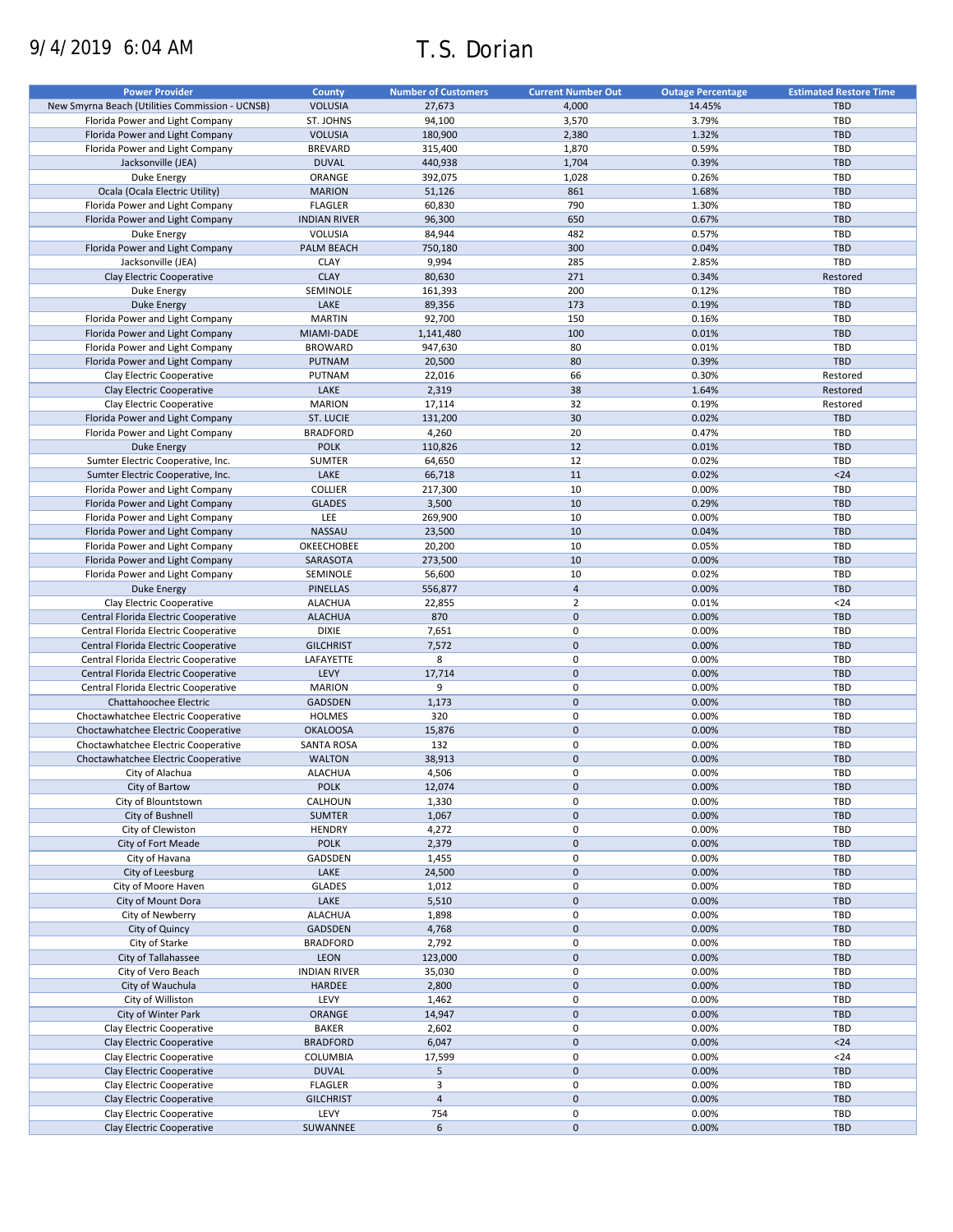# 9/4/2019 6:04 AM T.S. Dorian

| <b>Power Provider</b>                           | County              | <b>Number of Customers</b> | <b>Current Number Out</b> | <b>Outage Percentage</b> | <b>Estimated Restore Time</b> |
|-------------------------------------------------|---------------------|----------------------------|---------------------------|--------------------------|-------------------------------|
|                                                 |                     |                            |                           |                          |                               |
| New Smyrna Beach (Utilities Commission - UCNSB) | <b>VOLUSIA</b>      | 27,673                     | 4,000                     | 14.45%                   | <b>TBD</b>                    |
| Florida Power and Light Company                 | ST. JOHNS           | 94,100                     | 3,570                     | 3.79%                    | TBD                           |
| Florida Power and Light Company                 | <b>VOLUSIA</b>      | 180,900                    | 2,380                     | 1.32%                    | <b>TBD</b>                    |
| Florida Power and Light Company                 | <b>BREVARD</b>      | 315,400                    | 1,870                     | 0.59%                    | <b>TBD</b>                    |
| Jacksonville (JEA)                              | <b>DUVAL</b>        | 440,938                    | 1,704                     | 0.39%                    | <b>TBD</b>                    |
| Duke Energy                                     | ORANGE              | 392,075                    | 1,028                     | 0.26%                    | TBD                           |
|                                                 | <b>MARION</b>       |                            | 861                       | 1.68%                    | <b>TBD</b>                    |
| Ocala (Ocala Electric Utility)                  |                     | 51,126                     |                           |                          |                               |
| Florida Power and Light Company                 | <b>FLAGLER</b>      | 60,830                     | 790                       | 1.30%                    | TBD                           |
| Florida Power and Light Company                 | <b>INDIAN RIVER</b> | 96,300                     | 650                       | 0.67%                    | <b>TBD</b>                    |
| Duke Energy                                     | VOLUSIA             | 84,944                     | 482                       | 0.57%                    | TBD                           |
| Florida Power and Light Company                 | PALM BEACH          | 750,180                    | 300                       | 0.04%                    | <b>TBD</b>                    |
| Jacksonville (JEA)                              | <b>CLAY</b>         | 9,994                      | 285                       | 2.85%                    | <b>TBD</b>                    |
| Clay Electric Cooperative                       | <b>CLAY</b>         | 80,630                     | 271                       | 0.34%                    | Restored                      |
|                                                 |                     |                            |                           |                          |                               |
| Duke Energy                                     | SEMINOLE            | 161,393                    | 200                       | 0.12%                    | TBD                           |
| <b>Duke Energy</b>                              | LAKE                | 89,356                     | 173                       | 0.19%                    | <b>TBD</b>                    |
| Florida Power and Light Company                 | <b>MARTIN</b>       | 92,700                     | 150                       | 0.16%                    | <b>TBD</b>                    |
| Florida Power and Light Company                 | MIAMI-DADE          | 1,141,480                  | 100                       | 0.01%                    | <b>TBD</b>                    |
| Florida Power and Light Company                 | <b>BROWARD</b>      | 947,630                    | 80                        | 0.01%                    | TBD                           |
| Florida Power and Light Company                 | PUTNAM              | 20,500                     | 80                        | 0.39%                    | <b>TBD</b>                    |
|                                                 |                     |                            |                           |                          |                               |
| Clay Electric Cooperative                       | PUTNAM              | 22,016                     | 66                        | 0.30%                    | Restored                      |
| Clay Electric Cooperative                       | LAKE                | 2,319                      | 38                        | 1.64%                    | Restored                      |
| Clay Electric Cooperative                       | <b>MARION</b>       | 17,114                     | 32                        | 0.19%                    | Restored                      |
| Florida Power and Light Company                 | ST. LUCIE           | 131,200                    | 30                        | 0.02%                    | <b>TBD</b>                    |
| Florida Power and Light Company                 | <b>BRADFORD</b>     | 4,260                      | 20                        | 0.47%                    | TBD                           |
| <b>Duke Energy</b>                              | <b>POLK</b>         | 110,826                    | 12                        | 0.01%                    | <b>TBD</b>                    |
|                                                 |                     |                            |                           |                          |                               |
| Sumter Electric Cooperative, Inc.               | <b>SUMTER</b>       | 64,650                     | 12                        | 0.02%                    | TBD                           |
| Sumter Electric Cooperative, Inc.               | LAKE                | 66,718                     | 11                        | 0.02%                    | $24$                          |
| Florida Power and Light Company                 | COLLIER             | 217,300                    | 10                        | 0.00%                    | TBD                           |
| Florida Power and Light Company                 | <b>GLADES</b>       | 3,500                      | 10                        | 0.29%                    | <b>TBD</b>                    |
| Florida Power and Light Company                 | LEE                 | 269,900                    | 10                        | 0.00%                    | <b>TBD</b>                    |
| Florida Power and Light Company                 | NASSAU              | 23,500                     | 10                        | 0.04%                    | <b>TBD</b>                    |
|                                                 |                     |                            |                           |                          |                               |
| Florida Power and Light Company                 | OKEECHOBEE          | 20,200                     | 10                        | 0.05%                    | TBD                           |
| Florida Power and Light Company                 | SARASOTA            | 273,500                    | 10                        | 0.00%                    | <b>TBD</b>                    |
| Florida Power and Light Company                 | SEMINOLE            | 56,600                     | 10                        | 0.02%                    | TBD                           |
| Duke Energy                                     | <b>PINELLAS</b>     | 556,877                    | $\overline{4}$            | 0.00%                    | <b>TBD</b>                    |
| Clay Electric Cooperative                       | <b>ALACHUA</b>      | 22,855                     | $\overline{2}$            | 0.01%                    | $24$                          |
| Central Florida Electric Cooperative            | <b>ALACHUA</b>      | 870                        | $\mathbf 0$               | 0.00%                    | <b>TBD</b>                    |
|                                                 |                     |                            |                           |                          |                               |
| Central Florida Electric Cooperative            | <b>DIXIE</b>        | 7,651                      | 0                         | 0.00%                    | TBD                           |
| Central Florida Electric Cooperative            | <b>GILCHRIST</b>    | 7,572                      | $\pmb{0}$                 | 0.00%                    | <b>TBD</b>                    |
| Central Florida Electric Cooperative            | LAFAYETTE           | 8                          | $\mathbf 0$               | 0.00%                    | TBD                           |
| Central Florida Electric Cooperative            | LEVY                | 17,714                     | $\mathbf{0}$              | 0.00%                    | <b>TBD</b>                    |
| Central Florida Electric Cooperative            | <b>MARION</b>       | 9                          | 0                         | 0.00%                    | <b>TBD</b>                    |
| Chattahoochee Electric                          | <b>GADSDEN</b>      | 1,173                      | $\overline{0}$            | 0.00%                    | <b>TBD</b>                    |
|                                                 | <b>HOLMES</b>       | 320                        | $\mathbf 0$               | 0.00%                    | <b>TBD</b>                    |
| Choctawhatchee Electric Cooperative             |                     |                            |                           |                          |                               |
| Choctawhatchee Electric Cooperative             | <b>OKALOOSA</b>     | 15,876                     | $\mathbf 0$               | 0.00%                    | <b>TBD</b>                    |
| Choctawhatchee Electric Cooperative             | <b>SANTA ROSA</b>   | 132                        | 0                         | 0.00%                    | TBD                           |
| Choctawhatchee Electric Cooperative             | <b>WALTON</b>       | 38,913                     | $\mathbf 0$               | 0.00%                    | <b>TBD</b>                    |
| City of Alachua                                 | <b>ALACHUA</b>      | 4,506                      | $\mathbf 0$               | 0.00%                    | TBD                           |
| City of Bartow                                  | <b>POLK</b>         | 12,074                     | $\pmb{0}$                 | 0.00%                    | <b>TBD</b>                    |
|                                                 |                     |                            |                           |                          |                               |
| City of Blountstown                             | CALHOUN             | 1,330                      | 0                         | 0.00%                    | TBD                           |
| City of Bushnell                                | <b>SUMTER</b>       | 1,067                      | $\pmb{0}$                 | 0.00%                    | TBD                           |
| City of Clewiston                               | <b>HENDRY</b>       | 4,272                      | 0                         | 0.00%                    | TBD                           |
| City of Fort Meade                              | <b>POLK</b>         | 2,379                      | $\pmb{0}$                 | 0.00%                    | <b>TBD</b>                    |
| City of Havana                                  | GADSDEN             | 1,455                      | 0                         | 0.00%                    | TBD                           |
| City of Leesburg                                | LAKE                | 24,500                     | $\pmb{0}$                 | 0.00%                    | <b>TBD</b>                    |
| City of Moore Haven                             | <b>GLADES</b>       | 1,012                      | 0                         | 0.00%                    | TBD                           |
|                                                 |                     |                            | $\pmb{0}$                 |                          |                               |
| City of Mount Dora                              | LAKE                | 5,510                      |                           | 0.00%                    | <b>TBD</b>                    |
| City of Newberry                                | <b>ALACHUA</b>      | 1,898                      | $\pmb{0}$                 | 0.00%                    | TBD                           |
| City of Quincy                                  | GADSDEN             | 4,768                      | $\pmb{0}$                 | 0.00%                    | TBD                           |
| City of Starke                                  | <b>BRADFORD</b>     | 2,792                      | 0                         | 0.00%                    | TBD                           |
| City of Tallahassee                             | LEON                | 123,000                    | $\pmb{0}$                 | 0.00%                    | <b>TBD</b>                    |
| City of Vero Beach                              | <b>INDIAN RIVER</b> | 35,030                     | $\pmb{0}$                 | 0.00%                    | TBD                           |
| City of Wauchula                                | HARDEE              | 2,800                      | $\pmb{0}$                 | 0.00%                    | TBD                           |
|                                                 |                     |                            |                           |                          |                               |
| City of Williston                               | LEVY                | 1,462                      | $\pmb{0}$                 | 0.00%                    | TBD                           |
| City of Winter Park                             | ORANGE              | 14,947                     | $\pmb{0}$                 | 0.00%                    | TBD                           |
| Clay Electric Cooperative                       | <b>BAKER</b>        | 2,602                      | $\mathbf 0$               | 0.00%                    | <b>TBD</b>                    |
| Clay Electric Cooperative                       | <b>BRADFORD</b>     | 6,047                      | $\pmb{0}$                 | 0.00%                    | $24$                          |
| Clay Electric Cooperative                       | COLUMBIA            | 17,599                     | $\mathbf 0$               | 0.00%                    | $24$                          |
| Clay Electric Cooperative                       | <b>DUVAL</b>        | 5                          | $\pmb{0}$                 | 0.00%                    | TBD                           |
|                                                 |                     |                            |                           |                          |                               |
| Clay Electric Cooperative                       | <b>FLAGLER</b>      | 3                          | $\mathbf 0$               | 0.00%                    | TBD                           |
| Clay Electric Cooperative                       | <b>GILCHRIST</b>    | $\sqrt{4}$                 | $\pmb{0}$                 | 0.00%                    | TBD                           |
| Clay Electric Cooperative                       | LEVY                | 754                        | 0                         | 0.00%                    | TBD                           |
| Clay Electric Cooperative                       | SUWANNEE            | 6                          | $\pmb{0}$                 | 0.00%                    | TBD                           |
|                                                 |                     |                            |                           |                          |                               |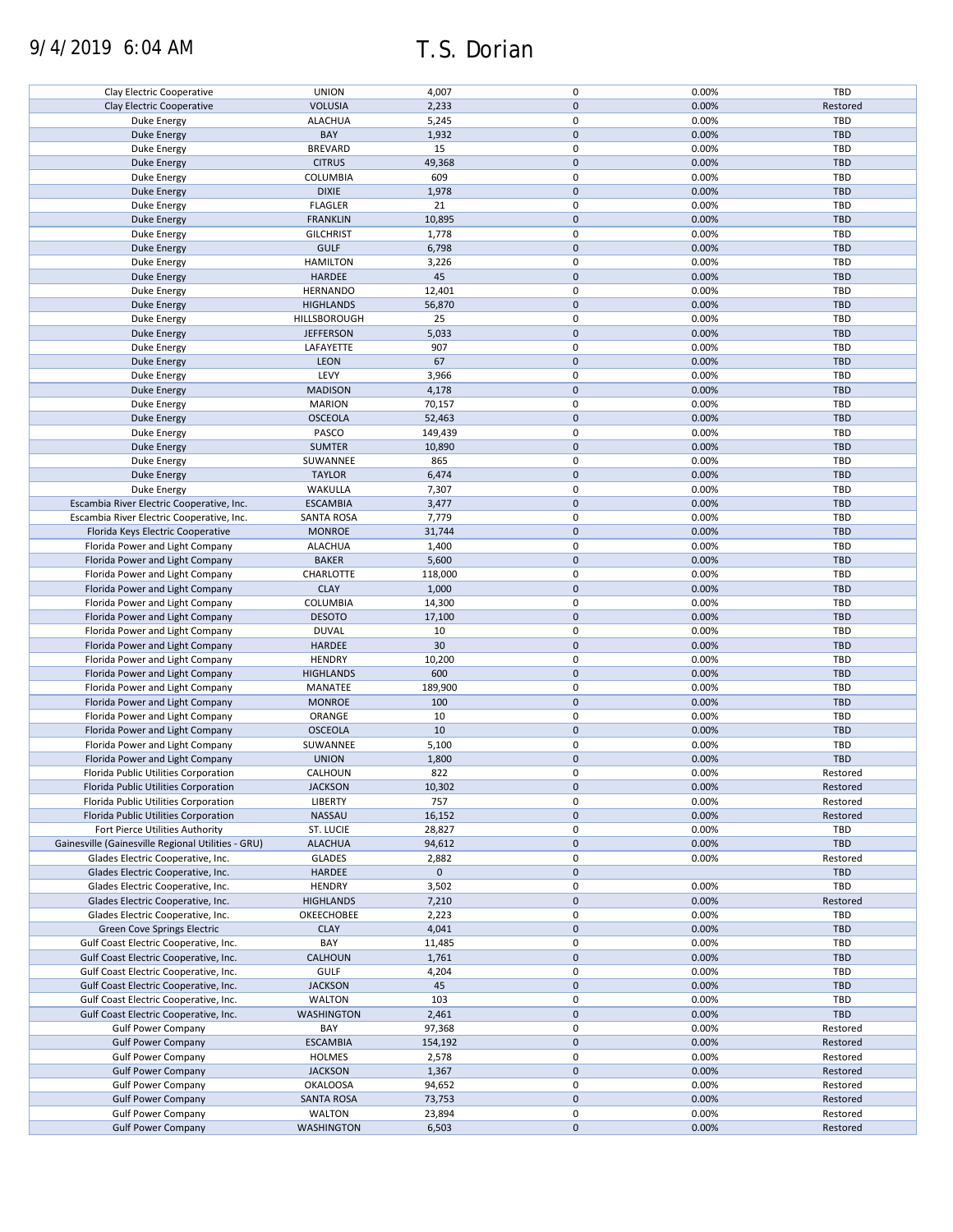# 9/4/2019 6:04 AM T.S. Dorian

| Clay Electric Cooperative                          | <b>UNION</b>      | 4,007       | 0           | 0.00% | TBD        |
|----------------------------------------------------|-------------------|-------------|-------------|-------|------------|
| Clay Electric Cooperative                          | <b>VOLUSIA</b>    | 2,233       | $\pmb{0}$   | 0.00% | Restored   |
| Duke Energy                                        | <b>ALACHUA</b>    | 5,245       | 0           | 0.00% | TBD        |
|                                                    |                   |             |             |       |            |
| <b>Duke Energy</b>                                 | BAY               | 1,932       | $\pmb{0}$   | 0.00% | <b>TBD</b> |
| Duke Energy                                        | <b>BREVARD</b>    | 15          | 0           | 0.00% | TBD        |
| <b>Duke Energy</b>                                 | <b>CITRUS</b>     | 49,368      | $\pmb{0}$   | 0.00% | <b>TBD</b> |
|                                                    |                   | 609         | 0           | 0.00% | <b>TBD</b> |
| Duke Energy                                        | COLUMBIA          |             |             |       |            |
| <b>Duke Energy</b>                                 | <b>DIXIE</b>      | 1,978       | $\pmb{0}$   | 0.00% | <b>TBD</b> |
| Duke Energy                                        | <b>FLAGLER</b>    | 21          | 0           | 0.00% | TBD        |
| <b>Duke Energy</b>                                 | <b>FRANKLIN</b>   | 10,895      | $\pmb{0}$   | 0.00% | <b>TBD</b> |
|                                                    |                   |             |             |       |            |
| <b>Duke Energy</b>                                 | <b>GILCHRIST</b>  | 1,778       | 0           | 0.00% | <b>TBD</b> |
| <b>Duke Energy</b>                                 | <b>GULF</b>       | 6,798       | $\mathbf 0$ | 0.00% | <b>TBD</b> |
| Duke Energy                                        | <b>HAMILTON</b>   | 3,226       | 0           | 0.00% | TBD        |
|                                                    |                   |             |             |       |            |
| Duke Energy                                        | HARDEE            | 45          | $\pmb{0}$   | 0.00% | <b>TBD</b> |
| Duke Energy                                        | <b>HERNANDO</b>   | 12,401      | 0           | 0.00% | TBD        |
| <b>Duke Energy</b>                                 | <b>HIGHLANDS</b>  | 56,870      | $\pmb{0}$   | 0.00% | <b>TBD</b> |
|                                                    |                   |             | 0           |       | TBD        |
| Duke Energy                                        | HILLSBOROUGH      | 25          |             | 0.00% |            |
| <b>Duke Energy</b>                                 | <b>JEFFERSON</b>  | 5,033       | $\pmb{0}$   | 0.00% | <b>TBD</b> |
| Duke Energy                                        | LAFAYETTE         | 907         | 0           | 0.00% | TBD        |
| <b>Duke Energy</b>                                 | LEON              | 67          | $\pmb{0}$   | 0.00% | <b>TBD</b> |
|                                                    |                   |             |             |       |            |
| Duke Energy                                        | LEVY              | 3,966       | 0           | 0.00% | TBD        |
| <b>Duke Energy</b>                                 | <b>MADISON</b>    | 4,178       | 0           | 0.00% | <b>TBD</b> |
| Duke Energy                                        | <b>MARION</b>     | 70,157      | 0           | 0.00% | TBD        |
|                                                    |                   |             |             |       |            |
| <b>Duke Energy</b>                                 | <b>OSCEOLA</b>    | 52,463      | $\pmb{0}$   | 0.00% | <b>TBD</b> |
| <b>Duke Energy</b>                                 | PASCO             | 149,439     | 0           | 0.00% | TBD        |
| <b>Duke Energy</b>                                 | <b>SUMTER</b>     | 10,890      | $\pmb{0}$   | 0.00% | <b>TBD</b> |
|                                                    |                   |             |             |       |            |
| Duke Energy                                        | SUWANNEE          | 865         | 0           | 0.00% | TBD        |
| <b>Duke Energy</b>                                 | <b>TAYLOR</b>     | 6,474       | $\pmb{0}$   | 0.00% | <b>TBD</b> |
| Duke Energy                                        | WAKULLA           | 7,307       | $\pmb{0}$   | 0.00% | TBD        |
|                                                    |                   |             |             |       |            |
| Escambia River Electric Cooperative, Inc.          | <b>ESCAMBIA</b>   | 3,477       | $\pmb{0}$   | 0.00% | <b>TBD</b> |
| Escambia River Electric Cooperative, Inc.          | <b>SANTA ROSA</b> | 7,779       | 0           | 0.00% | TBD        |
| Florida Keys Electric Cooperative                  | <b>MONROE</b>     | 31,744      | $\pmb{0}$   | 0.00% | <b>TBD</b> |
|                                                    |                   |             |             |       |            |
| Florida Power and Light Company                    | <b>ALACHUA</b>    | 1,400       | 0           | 0.00% | TBD        |
| Florida Power and Light Company                    | <b>BAKER</b>      | 5,600       | $\mathbf 0$ | 0.00% | <b>TBD</b> |
| Florida Power and Light Company                    | CHARLOTTE         | 118,000     | 0           | 0.00% | TBD        |
|                                                    | <b>CLAY</b>       |             | $\mathbf 0$ |       |            |
| Florida Power and Light Company                    |                   | 1,000       |             | 0.00% | <b>TBD</b> |
| Florida Power and Light Company                    | COLUMBIA          | 14,300      | 0           | 0.00% | TBD        |
| Florida Power and Light Company                    | <b>DESOTO</b>     | 17,100      | $\pmb{0}$   | 0.00% | <b>TBD</b> |
| Florida Power and Light Company                    | <b>DUVAL</b>      | 10          | 0           | 0.00% | TBD        |
|                                                    |                   |             |             |       |            |
| Florida Power and Light Company                    | HARDEE            | 30          | $\pmb{0}$   | 0.00% | <b>TBD</b> |
| Florida Power and Light Company                    | <b>HENDRY</b>     | 10,200      | 0           | 0.00% | <b>TBD</b> |
| Florida Power and Light Company                    | <b>HIGHLANDS</b>  | 600         | $\pmb{0}$   | 0.00% | <b>TBD</b> |
|                                                    |                   |             |             |       |            |
| Florida Power and Light Company                    | MANATEE           | 189,900     | 0           | 0.00% | TBD        |
| Florida Power and Light Company                    | <b>MONROE</b>     | 100         | $\pmb{0}$   | 0.00% | <b>TBD</b> |
| Florida Power and Light Company                    | ORANGE            | 10          | 0           | 0.00% | TBD        |
|                                                    |                   |             |             |       |            |
| Florida Power and Light Company                    | <b>OSCEOLA</b>    | 10          | $\pmb{0}$   | 0.00% | <b>TBD</b> |
| Florida Power and Light Company                    | SUWANNEE          | 5,100       | 0           | 0.00% | TBD        |
| Florida Power and Light Company                    | <b>UNION</b>      | 1,800       | $\pmb{0}$   | 0.00% | <b>TBD</b> |
|                                                    |                   |             | 0           |       |            |
| Florida Public Utilities Corporation               | CALHOUN           | 822         |             | 0.00% | Restored   |
| Florida Public Utilities Corporation               | <b>JACKSON</b>    | 10,302      | $\pmb{0}$   | 0.00% | Restored   |
| Florida Public Utilities Corporation               | LIBERTY           | 757         | 0           | 0.00% | Restored   |
|                                                    | NASSAU            |             | $\pmb{0}$   | 0.00% | Restored   |
| Florida Public Utilities Corporation               |                   | 16,152      |             |       |            |
| Fort Pierce Utilities Authority                    | ST. LUCIE         | 28,827      | 0           | 0.00% | TBD        |
| Gainesville (Gainesville Regional Utilities - GRU) | <b>ALACHUA</b>    | 94,612      | $\pmb{0}$   | 0.00% | TBD        |
| Glades Electric Cooperative, Inc.                  | <b>GLADES</b>     | 2,882       | 0           | 0.00% | Restored   |
|                                                    |                   |             |             |       |            |
| Glades Electric Cooperative, Inc.                  | <b>HARDEE</b>     | $\mathbf 0$ | $\pmb{0}$   |       | TBD        |
| Glades Electric Cooperative, Inc.                  | <b>HENDRY</b>     | 3,502       | 0           | 0.00% | <b>TBD</b> |
| Glades Electric Cooperative, Inc.                  | <b>HIGHLANDS</b>  | 7,210       | $\pmb{0}$   | 0.00% | Restored   |
|                                                    |                   |             |             |       |            |
| Glades Electric Cooperative, Inc.                  | OKEECHOBEE        | 2,223       | 0           | 0.00% | TBD        |
| Green Cove Springs Electric                        | <b>CLAY</b>       | 4,041       | $\pmb{0}$   | 0.00% | <b>TBD</b> |
| Gulf Coast Electric Cooperative, Inc.              | BAY               | 11,485      | 0           | 0.00% | TBD        |
|                                                    |                   |             |             |       |            |
| Gulf Coast Electric Cooperative, Inc.              | <b>CALHOUN</b>    | 1,761       | $\pmb{0}$   | 0.00% | <b>TBD</b> |
| Gulf Coast Electric Cooperative, Inc.              | <b>GULF</b>       | 4,204       | 0           | 0.00% | <b>TBD</b> |
| Gulf Coast Electric Cooperative, Inc.              | <b>JACKSON</b>    | 45          | $\pmb{0}$   | 0.00% | <b>TBD</b> |
|                                                    |                   | 103         | 0           | 0.00% |            |
| Gulf Coast Electric Cooperative, Inc.              | <b>WALTON</b>     |             |             |       | TBD        |
| Gulf Coast Electric Cooperative, Inc.              | <b>WASHINGTON</b> | 2,461       | $\pmb{0}$   | 0.00% | TBD        |
| <b>Gulf Power Company</b>                          | BAY               | 97,368      | 0           | 0.00% | Restored   |
| <b>Gulf Power Company</b>                          | <b>ESCAMBIA</b>   | 154,192     | $\pmb{0}$   | 0.00% | Restored   |
|                                                    |                   |             |             |       |            |
| <b>Gulf Power Company</b>                          | <b>HOLMES</b>     | 2,578       | 0           | 0.00% | Restored   |
| <b>Gulf Power Company</b>                          | <b>JACKSON</b>    | 1,367       | $\pmb{0}$   | 0.00% | Restored   |
| <b>Gulf Power Company</b>                          | <b>OKALOOSA</b>   | 94,652      | 0           | 0.00% | Restored   |
|                                                    |                   |             |             |       |            |
| <b>Gulf Power Company</b>                          | <b>SANTA ROSA</b> | 73,753      | $\pmb{0}$   | 0.00% | Restored   |
| <b>Gulf Power Company</b>                          | <b>WALTON</b>     | 23,894      | 0           | 0.00% | Restored   |
| <b>Gulf Power Company</b>                          | <b>WASHINGTON</b> | 6,503       | $\pmb{0}$   | 0.00% | Restored   |
|                                                    |                   |             |             |       |            |